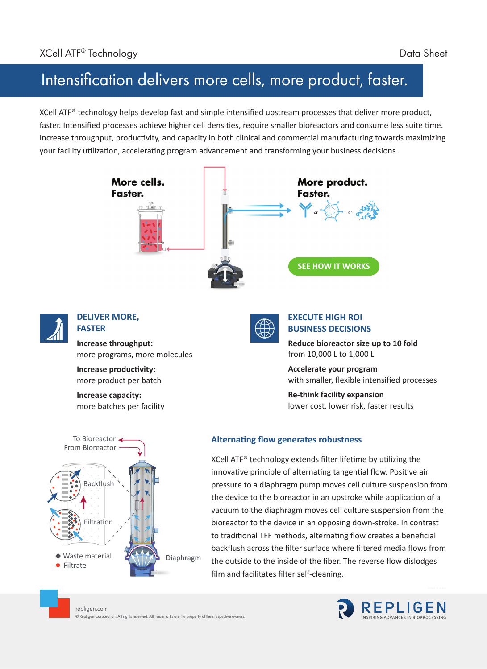## Intensification delivers more cells, more product, faster.

XCell ATF® technology helps develop fast and simple intensified upstream processes that deliver more product, faster. Intensified processes achieve higher cell densities, require smaller bioreactors and consume less suite time. Increase throughput, productivity, and capacity in both clinical and commercial manufacturing towards maximizing your facility utilization, accelerating program advancement and transforming your business decisions.



film and facilitates filter self-cleaning.

**•** Filtrate

repligen.com © Repligen Corporation. All rights reserved. All trademarks are the property of their respective owners.